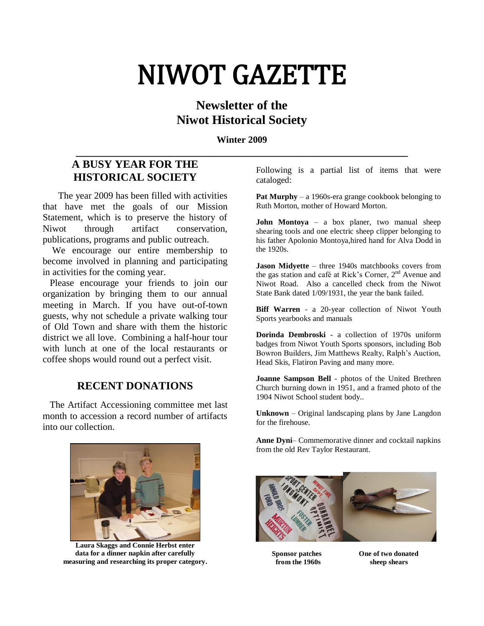# NIWOT GAZETTE

## **Newsletter of the Niwot Historical Society**

**Winter 2009 \_\_\_\_\_\_\_\_\_\_\_\_\_\_\_\_\_\_\_\_\_\_\_\_\_\_\_\_\_\_\_\_\_\_\_\_\_\_\_\_\_\_\_\_\_\_\_\_\_\_\_\_\_\_\_\_\_\_\_\_**

## **A BUSY YEAR FOR THE HISTORICAL SOCIETY**

 The year 2009 has been filled with activities that have met the goals of our Mission Statement, which is to preserve the history of Niwot through artifact conservation, publications, programs and public outreach.

 We encourage our entire membership to become involved in planning and participating in activities for the coming year.

 Please encourage your friends to join our organization by bringing them to our annual meeting in March. If you have out-of-town guests, why not schedule a private walking tour of Old Town and share with them the historic district we all love. Combining a half-hour tour with lunch at one of the local restaurants or coffee shops would round out a perfect visit.

## **RECENT DONATIONS**

 The Artifact Accessioning committee met last month to accession a record number of artifacts into our collection.

Following is a partial list of items that were cataloged:

**Pat Murphy** – a 1960s-era grange cookbook belonging to Ruth Morton, mother of Howard Morton.

**John Montoya** – a box planer, two manual sheep shearing tools and one electric sheep clipper belonging to his father Apolonio Montoya,hired hand for Alva Dodd in the 1920s.

**Jason Midyette** – three 1940s matchbooks covers from the gas station and café at Rick's Corner, 2<sup>nd</sup> Avenue and Niwot Road. Also a cancelled check from the Niwot State Bank dated 1/09/1931, the year the bank failed.

**Biff Warren** - a 20-year collection of Niwot Youth Sports yearbooks and manuals

**Dorinda Dembroski** - a collection of 1970s uniform badges from Niwot Youth Sports sponsors, including Bob Bowron Builders, Jim Matthews Realty, Ralph"s Auction, Head Skis, Flatiron Paving and many more.

**Joanne Sampson Bell** - photos of the United Brethren Church burning down in 1951, and a framed photo of the 1904 Niwot School student body..

**Unknown** – Original landscaping plans by Jane Langdon for the firehouse.

**Anne Dyni**– Commemorative dinner and cocktail napkins from the old Rev Taylor Restaurant.



**Laura Skaggs and Connie Herbst enter data for a dinner napkin after carefully measuring and researching its proper category.**



 **from the 1960s sheep shears**

**Sponsor patches** One of two donated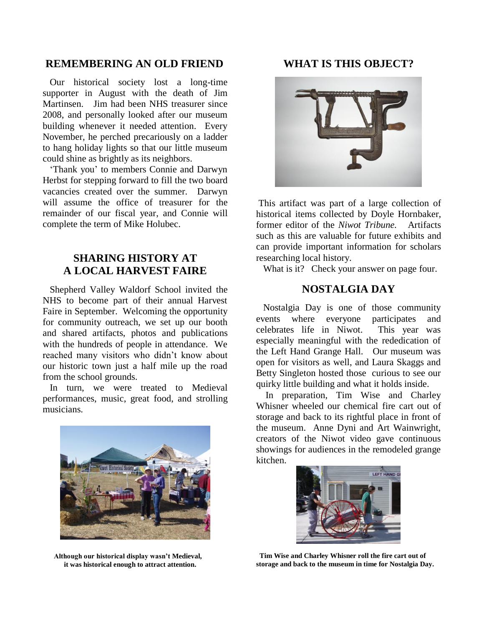#### **REMEMBERING AN OLD FRIEND**

 Our historical society lost a long-time supporter in August with the death of Jim Martinsen. Jim had been NHS treasurer since 2008, and personally looked after our museum building whenever it needed attention. Every November, he perched precariously on a ladder to hang holiday lights so that our little museum could shine as brightly as its neighbors.

 "Thank you" to members Connie and Darwyn Herbst for stepping forward to fill the two board vacancies created over the summer. Darwyn will assume the office of treasurer for the remainder of our fiscal year, and Connie will complete the term of Mike Holubec.

## **SHARING HISTORY AT A LOCAL HARVEST FAIRE**

 Shepherd Valley Waldorf School invited the NHS to become part of their annual Harvest Faire in September. Welcoming the opportunity for community outreach, we set up our booth and shared artifacts, photos and publications with the hundreds of people in attendance. We reached many visitors who didn"t know about our historic town just a half mile up the road from the school grounds.

 In turn, we were treated to Medieval performances, music, great food, and strolling musicians.



 **Although our historical display wasn't Medieval, it was historical enough to attract attention.**

#### **WHAT IS THIS OBJECT?**



This artifact was part of a large collection of historical items collected by Doyle Hornbaker, former editor of the *Niwot Tribune.* Artifacts such as this are valuable for future exhibits and can provide important information for scholars researching local history.

What is it? Check your answer on page four.

#### **NOSTALGIA DAY**

 Nostalgia Day is one of those community events where everyone participates and celebrates life in Niwot. This year was especially meaningful with the rededication of the Left Hand Grange Hall. Our museum was open for visitors as well, and Laura Skaggs and Betty Singleton hosted those curious to see our quirky little building and what it holds inside.

 In preparation, Tim Wise and Charley Whisner wheeled our chemical fire cart out of storage and back to its rightful place in front of the museum. Anne Dyni and Art Wainwright, creators of the Niwot video gave continuous showings for audiences in the remodeled grange kitchen.



 **Tim Wise and Charley Whisner roll the fire cart out of storage and back to the museum in time for Nostalgia Day.**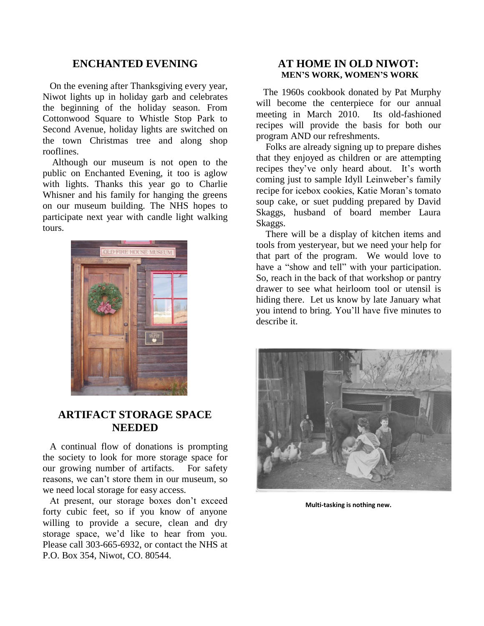#### **ENCHANTED EVENING**

 On the evening after Thanksgiving every year, Niwot lights up in holiday garb and celebrates the beginning of the holiday season. From Cottonwood Square to Whistle Stop Park to Second Avenue, holiday lights are switched on the town Christmas tree and along shop rooflines.

 Although our museum is not open to the public on Enchanted Evening, it too is aglow with lights. Thanks this year go to Charlie Whisner and his family for hanging the greens on our museum building. The NHS hopes to participate next year with candle light walking tours.



### **ARTIFACT STORAGE SPACE NEEDED**

 A continual flow of donations is prompting the society to look for more storage space for our growing number of artifacts. For safety reasons, we can"t store them in our museum, so we need local storage for easy access.

 At present, our storage boxes don"t exceed forty cubic feet, so if you know of anyone willing to provide a secure, clean and dry storage space, we'd like to hear from you. Please call 303-665-6932, or contact the NHS at P.O. Box 354, Niwot, CO. 80544.

#### **AT HOME IN OLD NIWOT: MEN'S WORK, WOMEN'S WORK**

 The 1960s cookbook donated by Pat Murphy will become the centerpiece for our annual meeting in March 2010. Its old-fashioned recipes will provide the basis for both our program AND our refreshments.

 Folks are already signing up to prepare dishes that they enjoyed as children or are attempting recipes they've only heard about. It's worth coming just to sample Idyll Leinweber"s family recipe for icebox cookies, Katie Moran"s tomato soup cake, or suet pudding prepared by David Skaggs, husband of board member Laura Skaggs.

 There will be a display of kitchen items and tools from yesteryear, but we need your help for that part of the program. We would love to have a "show and tell" with your participation. So, reach in the back of that workshop or pantry drawer to see what heirloom tool or utensil is hiding there. Let us know by late January what you intend to bring. You"ll have five minutes to describe it.



**Multi-tasking is nothing new.**